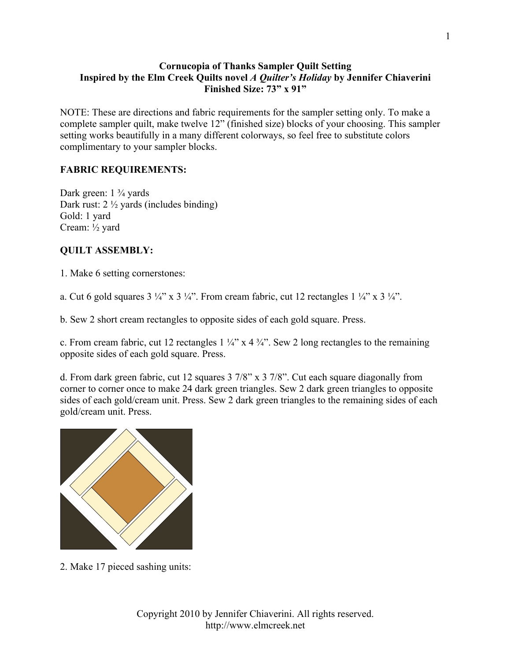## **Cornucopia of Thanks Sampler Quilt Setting Inspired by the Elm Creek Quilts novel** *A Quilter's Holiday* **by Jennifer Chiaverini Finished Size: 73" x 91"**

NOTE: These are directions and fabric requirements for the sampler setting only. To make a complete sampler quilt, make twelve 12" (finished size) blocks of your choosing. This sampler setting works beautifully in a many different colorways, so feel free to substitute colors complimentary to your sampler blocks.

## **FABRIC REQUIREMENTS:**

Dark green: 1 <sup>3</sup>/<sub>4</sub> yards Dark rust: 2 ½ yards (includes binding) Gold: 1 yard Cream: ½ yard

## **QUILT ASSEMBLY:**

1. Make 6 setting cornerstones:

a. Cut 6 gold squares  $3\frac{1}{4}$ " x  $3\frac{1}{4}$ ". From cream fabric, cut 12 rectangles  $1\frac{1}{4}$ " x  $3\frac{1}{4}$ ".

b. Sew 2 short cream rectangles to opposite sides of each gold square. Press.

c. From cream fabric, cut 12 rectangles  $1\frac{1}{4}$  x  $4\frac{3}{4}$ . Sew 2 long rectangles to the remaining opposite sides of each gold square. Press.

d. From dark green fabric, cut 12 squares 3 7/8" x 3 7/8". Cut each square diagonally from corner to corner once to make 24 dark green triangles. Sew 2 dark green triangles to opposite sides of each gold/cream unit. Press. Sew 2 dark green triangles to the remaining sides of each gold/cream unit. Press.



2. Make 17 pieced sashing units: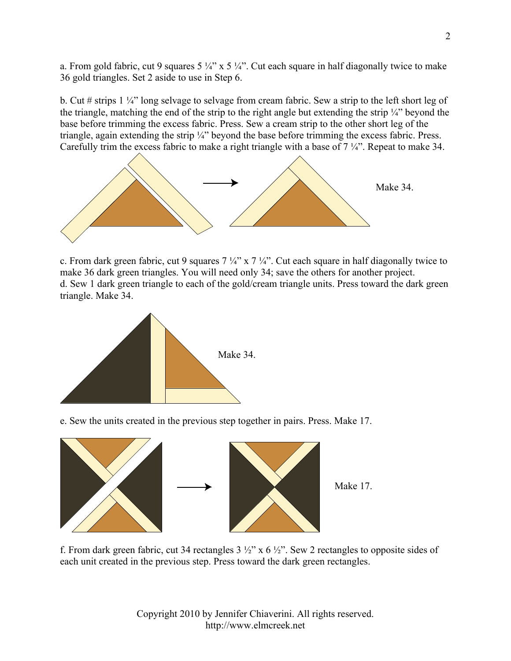a. From gold fabric, cut 9 squares  $5\frac{1}{4}$ " x  $5\frac{1}{4}$ ". Cut each square in half diagonally twice to make 36 gold triangles. Set 2 aside to use in Step 6.

b. Cut # strips 1 ¼" long selvage to selvage from cream fabric. Sew a strip to the left short leg of the triangle, matching the end of the strip to the right angle but extending the strip ¼" beyond the base before trimming the excess fabric. Press. Sew a cream strip to the other short leg of the triangle, again extending the strip ¼" beyond the base before trimming the excess fabric. Press. Carefully trim the excess fabric to make a right triangle with a base of 7 ¼". Repeat to make 34.



c. From dark green fabric, cut 9 squares  $7\frac{1}{4}$  x  $7\frac{1}{4}$ . Cut each square in half diagonally twice to make 36 dark green triangles. You will need only 34; save the others for another project. d. Sew 1 dark green triangle to each of the gold/cream triangle units. Press toward the dark green triangle. Make 34.



e. Sew the units created in the previous step together in pairs. Press. Make 17.



f. From dark green fabric, cut 34 rectangles  $3\frac{1}{2}$ " x 6  $\frac{1}{2}$ ". Sew 2 rectangles to opposite sides of each unit created in the previous step. Press toward the dark green rectangles.

Copyright 2010 by Jennifer Chiaverini. All rights reserved. http://www.elmcreek.net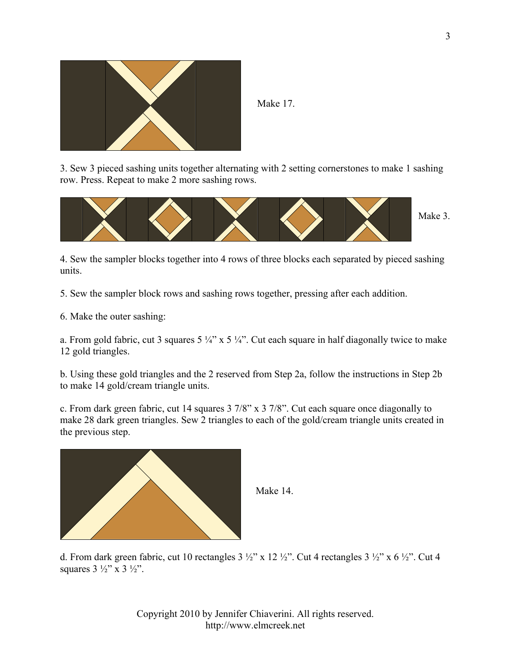

Make 17.

3. Sew 3 pieced sashing units together alternating with 2 setting cornerstones to make 1 sashing row. Press. Repeat to make 2 more sashing rows.



4. Sew the sampler blocks together into 4 rows of three blocks each separated by pieced sashing units.

5. Sew the sampler block rows and sashing rows together, pressing after each addition.

6. Make the outer sashing:

a. From gold fabric, cut 3 squares  $5\frac{1}{4}$ " x  $5\frac{1}{4}$ ". Cut each square in half diagonally twice to make 12 gold triangles.

b. Using these gold triangles and the 2 reserved from Step 2a, follow the instructions in Step 2b to make 14 gold/cream triangle units.

c. From dark green fabric, cut 14 squares 3 7/8" x 3 7/8". Cut each square once diagonally to make 28 dark green triangles. Sew 2 triangles to each of the gold/cream triangle units created in the previous step.



Make 14.

d. From dark green fabric, cut 10 rectangles  $3\frac{1}{2}$ " x  $12\frac{1}{2}$ ". Cut 4 rectangles  $3\frac{1}{2}$ " x  $6\frac{1}{2}$ ". Cut 4 squares  $3 \frac{1}{2}$ " x  $3 \frac{1}{2}$ ".

> Copyright 2010 by Jennifer Chiaverini. All rights reserved. http://www.elmcreek.net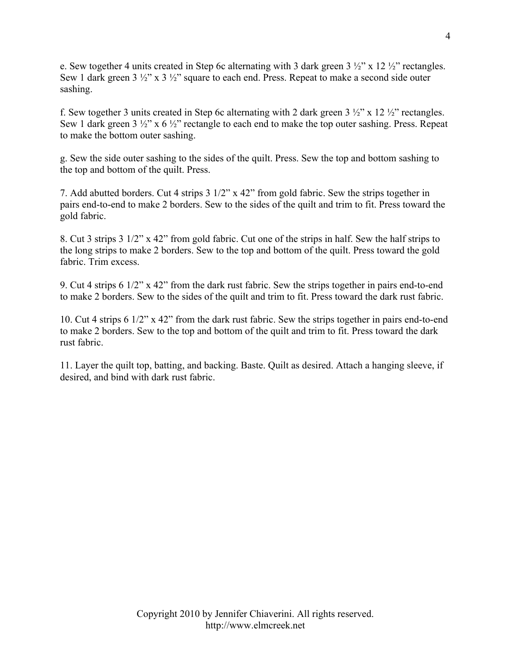e. Sew together 4 units created in Step 6c alternating with 3 dark green  $3\frac{1}{2}$  x 12  $\frac{1}{2}$  rectangles. Sew 1 dark green 3  $\frac{1}{2}$ " x 3  $\frac{1}{2}$ " square to each end. Press. Repeat to make a second side outer sashing.

f. Sew together 3 units created in Step 6c alternating with 2 dark green  $3\frac{1}{2}$ " x  $12\frac{1}{2}$ " rectangles. Sew 1 dark green 3  $\frac{1}{2}$ " x 6  $\frac{1}{2}$ " rectangle to each end to make the top outer sashing. Press. Repeat to make the bottom outer sashing.

g. Sew the side outer sashing to the sides of the quilt. Press. Sew the top and bottom sashing to the top and bottom of the quilt. Press.

7. Add abutted borders. Cut 4 strips 3 1/2" x 42" from gold fabric. Sew the strips together in pairs end-to-end to make 2 borders. Sew to the sides of the quilt and trim to fit. Press toward the gold fabric.

8. Cut 3 strips 3 1/2" x 42" from gold fabric. Cut one of the strips in half. Sew the half strips to the long strips to make 2 borders. Sew to the top and bottom of the quilt. Press toward the gold fabric. Trim excess.

9. Cut 4 strips 6 1/2" x 42" from the dark rust fabric. Sew the strips together in pairs end-to-end to make 2 borders. Sew to the sides of the quilt and trim to fit. Press toward the dark rust fabric.

10. Cut 4 strips 6 1/2" x 42" from the dark rust fabric. Sew the strips together in pairs end-to-end to make 2 borders. Sew to the top and bottom of the quilt and trim to fit. Press toward the dark rust fabric.

11. Layer the quilt top, batting, and backing. Baste. Quilt as desired. Attach a hanging sleeve, if desired, and bind with dark rust fabric.